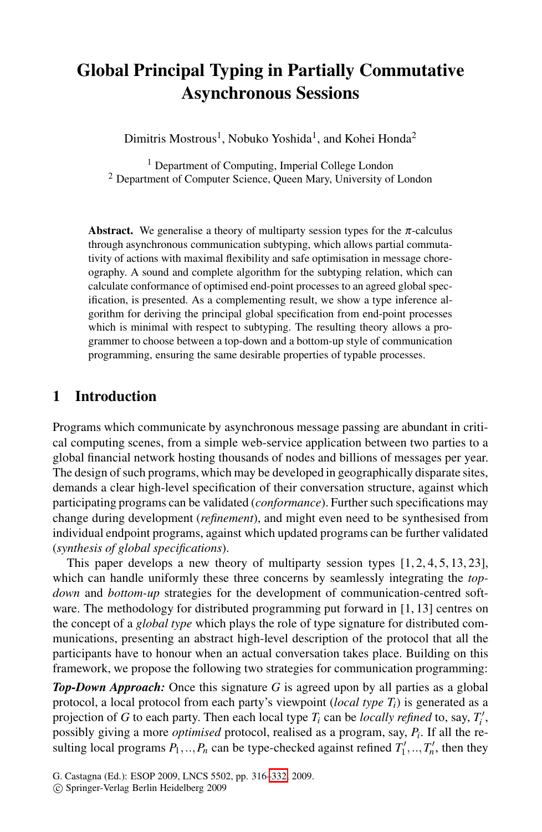# **Global Principal Typing in Partially Commutative Asynchronous Sessions**

Dimitris Mostrous<sup>1</sup>, Nobuko Yoshida<sup>1</sup>, and Kohei Honda<sup>2</sup>

<sup>1</sup> Department of Computing, Imperial College London <sup>2</sup> Department of Computer Science, Queen Mary, University of London

**Abstract.** We generalise a theory of multiparty session types for the  $\pi$ -calculus through asynchronous communication subtyping, which allows partial commutativity of actions with maximal flexibility and safe optimisation in message choreography. A sound and complete algorithm for the subtyping relation, which can calculate conformance of optimised end-point processes to an agreed global specification, is presented. As a complementing result, we show a type inference algorithm for deriving the principal global specification from end-point processes which is minimal with respect to subtyping. The resulting theory allows a programmer to choose between a top-down and a bottom-up style of communication programming, ensuring the same desirable properties of typable processes.

# **1 Introduction**

Programs which communicate by asynchronous message passing are abundant in critical computing scenes, from a simple web-service application between two parties to a global financial network hosting thousands of nodes and billions of messages per year. The design of such programs, which may be developed in geographically disparate sites, demands a clear high-level specification of their conversation structure, against which participating programs can be validated (*conformance*). Further such specifications may change during development (*refinement*), and might even need to be synthesised from individual endpoint programs, against which updated programs can be further validated (*synthesis of global specifications*).

This paper develops a new theory of multiparty session types  $[1, 2, 4, 5, 13, 23]$ , which can handle uniformly these three concerns by seamlessly integrating the *topdown* and *bottom-up* strategies for the development of communication-centred software. The methodology for distributed programming put forward in [1, 13] centres on the concept of a *global type* which plays the role of type signature for distributed communications, presenting an abstract high-level description of the protocol that all the participants have to honour when an actual conversation takes place. Building on this framework, we propose the following two strategies for communication programming:

*Top-Down Approach:* Once this signature *G* is agreed upon by all parties as a global protocol, a local protocol from each party's viewpoint (*local type Ti*) is generated as a projection of *G* to each party. Then each local type  $T_i$  can be *locally refined* to, say,  $T'_i$ , possibly giving a more *optimised* protocol, realised as a program, say, *Pi*. If all the resulting local programs  $P_1, ..., P_n$  can be type-checked against refined  $T'_1, ..., T'_n$ , then they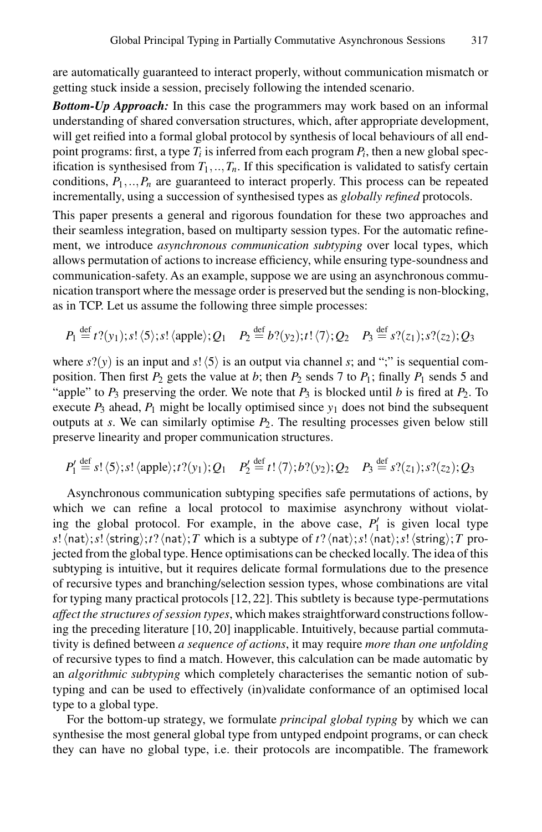are automatically guaranteed to interact properly, without communication mismatch or getting stuck inside a session, precisely following the intended scenario.

*Bottom-Up Approach:* In this case the programmers may work based on an informal understanding of shared conversation structures, which, after appropriate development, will get reified into a formal global protocol by synthesis of local behaviours of all endpoint programs: first, a type  $T_i$  is inferred from each program  $P_i$ , then a new global specification is synthesised from  $T_1, ..., T_n$ . If this specification is validated to satisfy certain conditions,  $P_1, \ldots, P_n$  are guaranteed to interact properly. This process can be repeated incrementally, using a succession of synthesised types as *globally refined* protocols.

This paper presents a general and rigorous foundation for these two approaches and their seamless integration, based on multiparty session types. For the automatic refinement, we introduce *asynchronous communication subtyping* over local types, which allows permutation of actions to increase efficiency, while ensuring type-soundness and communication-safety. As an example, suppose we are using an asynchronous communication transport where the message order is preserved but the sending is non-blocking, as in TCP. Let us assume the following three simple processes:

$$
P_1 \stackrel{\text{def}}{=} t?(\mathbf{y}_1); s! \langle 5 \rangle; s! \langle \text{apple} \rangle; Q_1 \quad P_2 \stackrel{\text{def}}{=} b?(\mathbf{y}_2); t! \langle 7 \rangle; Q_2 \quad P_3 \stackrel{\text{def}}{=} s?(\mathbf{z}_1); s?(\mathbf{z}_2); Q_3
$$

where  $s'(y)$  is an input and  $s'(\overline{5})$  is an output via channel *s*; and ";" is sequential composition. Then first  $P_2$  gets the value at *b*; then  $P_2$  sends 7 to  $P_1$ ; finally  $P_1$  sends 5 and "apple" to  $P_3$  preserving the order. We note that  $P_3$  is blocked until *b* is fired at  $P_2$ . To execute  $P_3$  ahead,  $P_1$  might be locally optimised since  $y_1$  does not bind the subsequent outputs at  $s$ . We can similarly optimise  $P_2$ . The resulting processes given below still preserve linearity and proper communication structures.

$$
P'_1 \stackrel{\text{def}}{=} s! \langle 5 \rangle; s! \langle \text{apple} \rangle; t? (y_1); Q_1 \quad P'_2 \stackrel{\text{def}}{=} t! \langle 7 \rangle; b? (y_2); Q_2 \quad P_3 \stackrel{\text{def}}{=} s? (z_1); s? (z_2); Q_3
$$

Asynchronous communication subtyping specifies safe permutations of actions, by which we can refine a local protocol to maximise asynchrony without violating the global protocol. For example, in the above case,  $P'_1$  is given local type  $s!$  (nat); $s!$  (string); $t?$  (nat); *T* which is a subtype of  $t?$  (nat); $s!$  (nat); $s!$  (string); *T* projected from the global type. Hence optimisations can be checked locally. The idea of this subtyping is intuitive, but it requires delicate formal formulations due to the presence of recursive types and branching/selection session types, whose combinations are vital for typing many practical protocols [12, 22]. This subtlety is because type-permutations *affect the structures of session types*, which makes straightforward constructions following the preceding literature [10, 20] inapplicable. Intuitively, because partial commutativity is defined between *a sequence of actions*, it may require *more than one unfolding* of recursive types to find a match. However, this calculation can be made automatic by an *algorithmic subtyping* which completely characterises the semantic notion of subtyping and can be used to effectively (in)validate conformance of an optimised local type to a global type.

For the bottom-up strategy, we formulate *principal global typing* by which we can synthesise the most general global type from untyped endpoint programs, or can check they can have no global type, i.e. their protocols are incompatible. The framework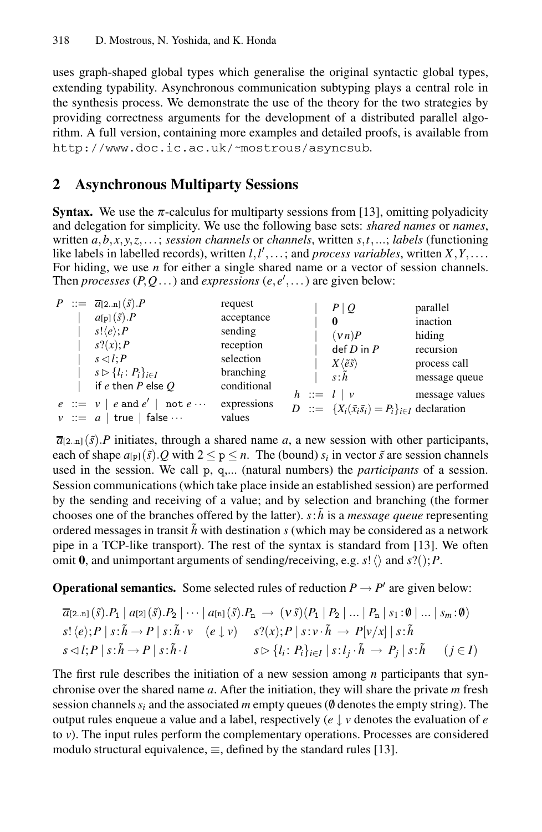uses graph-shaped global types which generalise the original syntactic global types, extending typability. Asynchronous communication subtyping plays a central role in the synthesis process. We demonstrate the use of the theory for the two strategies by providing correctness arguments for the development of a distributed parallel algorithm. A full version, containing more examples and detailed proofs, is available from http://www.doc.ic.ac.uk/˜mostrous/asyncsub.

# **2 Asynchronous Multiparty Sessions**

**Syntax.** We use the  $\pi$ -calculus for multiparty sessions from [13], omitting polyadicity and delegation for simplicity. We use the following base sets: *shared names* or *names*, written *a*,*b*,*x*,*y*,*z*,...; *session channels* or *channels*, written *s*,*t*,...; *labels* (functioning like labels in labelled records), written  $l, l', \ldots$ ; and *process variables*, written  $X, Y, \ldots$ . For hiding, we use *n* for either a single shared name or a vector of session channels. Then *processes* ( $P$ , $Q$ ...) and *expressions* ( $e$ , $e'$ ,...) are given below:

|  | $P ::= \overline{a}$ [2n] $(\tilde{s})$ . $P$ | request     |               | $P \mid Q$                                                          | parallel       |
|--|-----------------------------------------------|-------------|---------------|---------------------------------------------------------------------|----------------|
|  | $a[p](\tilde{s}).P$                           | acceptance  |               | $\mathbf 0$                                                         | inaction       |
|  | $s! \langle e \rangle; P$                     | sending     |               | (vn)P                                                               | hiding         |
|  | s?(x);P                                       | reception   |               | $def D$ in $P$                                                      | recursion      |
|  | $s \triangleleft l$ : P                       | selection   |               | $X\langle \tilde{e}\tilde{s}\rangle$                                | process call   |
|  | $s \triangleright \{l_i : P_i\}_{i \in I}$    | branching   |               | s:h                                                                 | message queue  |
|  | if $e$ then $P$ else $Q$                      | conditional |               |                                                                     |                |
|  | $e$ := $v$   $e$ and $e'$  <br>not $e \cdots$ | expressions | $h ::= l   v$ |                                                                     | message values |
|  |                                               |             |               | $D := \{X_i(\tilde{x}_i \tilde{s}_i) = P_i\}_{i \in I}$ declaration |                |
|  | $v ::= a \mid true \mid false \cdots$         | values      |               |                                                                     |                |

 $\overline{a}$ [2..n]( $\tilde{s}$ ).*P* initiates, through a shared name *a*, a new session with other participants, each of shape  $a_{[p]}(\tilde{s})$ . *Q* with  $2 \le p \le n$ . The (bound)  $s_i$  in vector  $\tilde{s}$  are session channels used in the session. We call p, q,... (natural numbers) the *participants* of a session. Session communications (which take place inside an established session) are performed by the sending and receiving of a value; and by selection and branching (the former chooses one of the branches offered by the latter).  $s:\tilde{h}$  is a *message queue* representing ordered messages in transit  $\tilde{h}$  with destination  $s$  (which may be considered as a network pipe in a TCP-like transport). The rest of the syntax is standard from [13]. We often omit 0, and unimportant arguments of sending/receiving, e.g.  $s! \langle \rangle$  and  $s?(\cdot)$ ; *P*.

**Operational semantics.** Some selected rules of reduction  $P \rightarrow P'$  are given below:

$$
\overline{a}_{[2..n]}(\tilde{s}).P_1 | a_{[2]}(\tilde{s}).P_2 | \cdots | a_{[n]}(\tilde{s}).P_n \rightarrow (\nu \tilde{s})(P_1 | P_2 | \cdots | P_n | s_1 : \emptyset | \cdots | s_m : \emptyset)
$$
  

$$
s! \langle e \rangle; P | s: \tilde{h} \rightarrow P | s: \tilde{h} \cdot \nu \quad (e \downarrow \nu) \quad s?(\tilde{s}); P | s: \nu \cdot \tilde{h} \rightarrow P[\nu/\tilde{s}] | s: \tilde{h}
$$
  

$$
s \triangleleft l; P | s: \tilde{h} \rightarrow P | s: \tilde{h} \cdot l \qquad s \triangleright \{l_i: P_i\}_{i \in I} | s: l_j \cdot \tilde{h} \rightarrow P_j | s: \tilde{h} \quad (j \in I)
$$

The first rule describes the initiation of a new session among *n* participants that synchronise over the shared name *a*. After the initiation, they will share the private *m* fresh session channels  $s_i$  and the associated  $m$  empty queues ( $\emptyset$  denotes the empty string). The output rules enqueue a value and a label, respectively (*e* ↓ *v* denotes the evaluation of *e* to *v*). The input rules perform the complementary operations. Processes are considered modulo structural equivalence,  $\equiv$ , defined by the standard rules [13].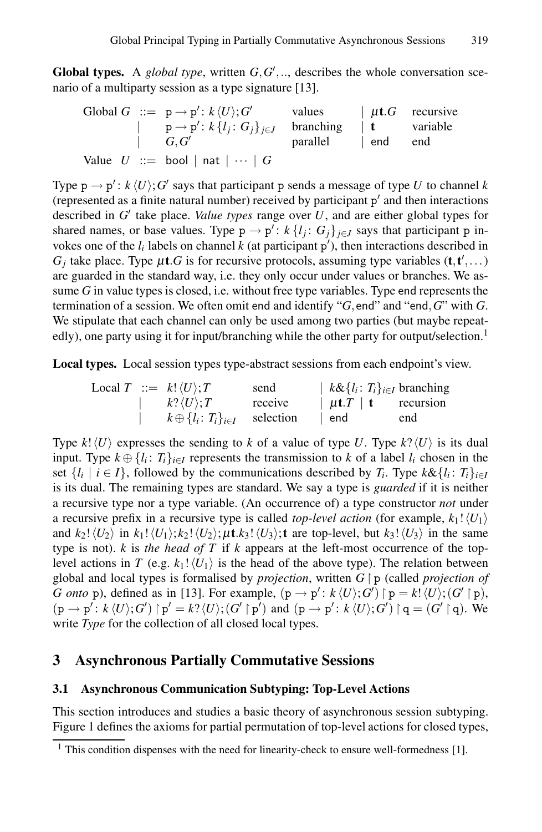**Global types.** A *global type*, written  $G, G', \ldots$ , describes the whole conversation scenario of a multiparty session as a type signature [13].

Global 
$$
G
$$
 ::=  $p \rightarrow p'$ :  $k\{U\}; G'$  values  $|\mu\mathbf{t}.G$  recursive  $p \rightarrow p'$ :  $k\{l_j: G_j\}_{j \in J}$  branching  $|\mathbf{t}$  variable  $G, G'$  the variable parallel  $G, G'$  and the parallel  $U$  ::=  $\text{bool} | \text{nat} | \cdots | G$ 

Type  $p \rightarrow p'$ :  $k \langle U \rangle$ ; G' says that participant p sends a message of type U to channel k (represented as a finite natural number) received by participant  $p'$  and then interactions described in G<sup>'</sup> take place. *Value types* range over U, and are either global types for shared names, or base values. Type  $p \rightarrow p'$ :  $k \{l_j : G_j\}_{j \in J}$  says that participant p invokes one of the  $l_i$  labels on channel  $k$  (at participant  $p'$ ), then interactions described in *G<sub>j</sub>* take place. Type  $\mu$ **t**.*G* is for recursive protocols, assuming type variables  $(t, t', \dots)$ are guarded in the standard way, i.e. they only occur under values or branches. We assume *G* in value types is closed, i.e. without free type variables. Type end represents the termination of a session. We often omit end and identify "*G*,end" and "end,*G*" with *G*. We stipulate that each channel can only be used among two parties (but maybe repeatedly), one party using it for input/branching while the other party for output/selection.<sup>1</sup>

Local types. Local session types type-abstract sessions from each endpoint's view.

| Local T | ::=                                          | $k!$ $\langle U \rangle$ ; T | send | $k \& \{l_i : T_i\}_{i \in I}$ branching |
|---------|----------------------------------------------|------------------------------|------|------------------------------------------|
|         | $k ? \langle U \rangle$ ; T                  | receive                      |      | $\mu t . T   t$ recursion                |
|         | $k \oplus \{l_i : T_i\}_{i \in I}$ selection |                              | end  | end                                      |

Type  $k! \langle U \rangle$  expresses the sending to k of a value of type U. Type  $k? \langle U \rangle$  is its dual input. Type  $k \oplus \{l_i : T_i\}_{i \in I}$  represents the transmission to k of a label  $l_i$  chosen in the set  $\{l_i | i \in I\}$ , followed by the communications described by  $T_i$ . Type  $k\&\{l_i : T_i\}_{i\in I}$ is its dual. The remaining types are standard. We say a type is *guarded* if it is neither a recursive type nor a type variable. (An occurrence of) a type constructor *not* under a recursive prefix in a recursive type is called *top-level action* (for example,  $k_1! \langle U_1 \rangle$ and  $k_2$ !  $\langle U_2 \rangle$  in  $k_1$ !  $\langle U_1 \rangle$ ;  $k_2$ !  $\langle U_2 \rangle$ ;  $\mu$ t. $k_3$ !  $\langle U_3 \rangle$ ; are top-level, but  $k_3$ !  $\langle U_3 \rangle$  in the same type is not). *k* is *the head of T* if *k* appears at the left-most occurrence of the toplevel actions in *T* (e.g.  $k_1! \langle U_1 \rangle$  is the head of the above type). The relation between global and local types is formalised by *projection*, written  $G \upharpoonright p$  (called *projection of G onto* p), defined as in [13]. For example,  $(p \rightarrow p' : k \langle U \rangle; G') \upharpoonright p = k! \langle U \rangle; (G' \upharpoonright p)$ ,  $(p \rightarrow p': k \langle U \rangle; G') \upharpoonright p' = k? \langle U \rangle; (G' \upharpoonright p')$  and  $(p \rightarrow p': k \langle U \rangle; G') \upharpoonright q = (G' \upharpoonright q)$ . We write *Type* for the collection of all closed local types.

## **3 Asynchronous Partially Commutative Sessions**

### **3.1 Asynchronous Communication Subtyping: Top-Level Actions**

This section introduces and studies a basic theory of asynchronous session subtyping. Figure 1 defines the axioms for partial permutation of top-level actions for closed types,

 $1$  This condition dispenses with the need for linearity-check to ensure well-formedness [1].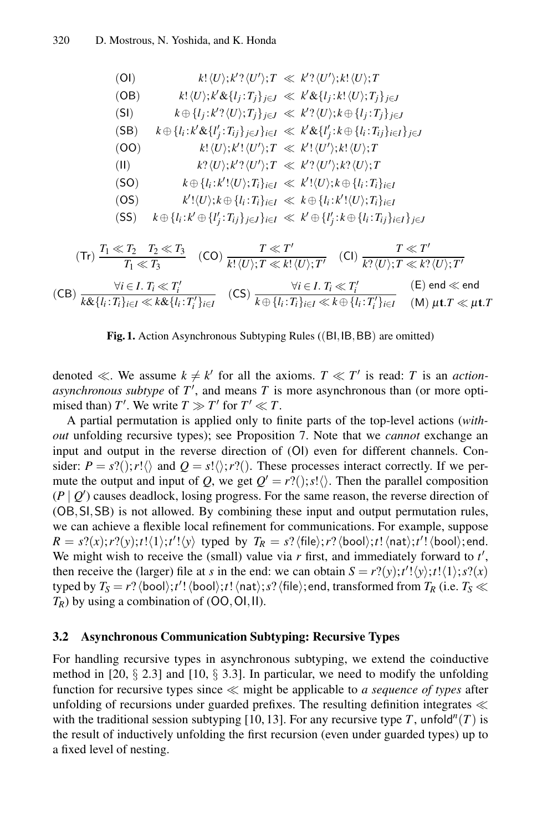\n- (O1) 
$$
k! \langle U \rangle; k' \langle U' \rangle; T \ll k' \langle U' \rangle; k! \langle U \rangle; T
$$
\n- (OB)  $k! \langle U \rangle; k' \& \{l_j: T_j\}_{j \in J} \ll k' \& \{l_j: k! \langle U \rangle; T_j\}_{j \in J}$
\n- (SI)  $k \oplus \{l_j: k' \langle U \rangle; T_j\}_{j \in J} \ll k' \langle U \rangle; k \oplus \{l_j: T_j\}_{j \in J}$
\n- (SB)  $k \oplus \{l_i: k' \& \{l'_j: T_{ij}\}_{j \in J}\}_{i \in I} \ll k' \& \{l'_j: k \oplus \{l_i: T_{ij}\}_{i \in J}\}_{j \in J}$
\n- (OO)  $k! \langle U \rangle; k'! \langle U' \rangle; T \ll k'! \langle U' \rangle; k! \langle U \rangle; T$
\n- (II)  $k? \langle U \rangle; k' ? \langle U' \rangle; T \ll k' ? \langle U' \rangle; k? \langle U \rangle; T$
\n- (SO)  $k \oplus \{l_i: k'! \langle U \rangle; T_i\}_{i \in I} \ll k'! \langle U \rangle; k \oplus \{l_i: T_i\}_{i \in I}$
\n- (OS)  $k'! \langle U \rangle; k \oplus \{l_i: T_i\}_{i \in I} \ll k \oplus \{l_i: k'! \langle U \rangle; T_i\}_{i \in I}$
\n

$$
(SS) \qquad k \oplus \{l_i : k' \oplus \{l'_j : T_{ij}\}_{j \in J}\}_{i \in I} \ll k' \oplus \{l'_j : k \oplus \{l_i : T_{ij}\}_{i \in I}\}_{j \in J}
$$

$$
\begin{array}{ccc}\n\text{(Tr)} \ \frac{T_1 \ll T_2 \quad T_2 \ll T_3}{T_1 \ll T_3} & \text{(CO)} \ \frac{T \ll T'}{k! \langle U \rangle; T \ll k! \langle U \rangle; T'} & \text{(Cl)} \ \frac{T \ll T'}{k! \langle U \rangle; T \ll k! \langle U \rangle; T} \\
\frac{\forall i \in I. \ T_i \ll T'_i}{k! \langle U \rangle; T_3 \ll k! \langle U \rangle; T' \ll k! \langle U \rangle; T' \ll k! \langle U \rangle; T' \ll k! \langle U \rangle; T' \\
\frac{\forall i \in I. \ T_i \ll T'_i}{k! \langle U_i : T_i \rangle_{i \in I} \ll k! \langle I_i : T'_i \rangle_{i \in I}} & \text{(CS)} \ \frac{\forall i \in I. \ T_i \ll T'_i}{k! \langle I_i : T_i \rangle_{i \in I} \ll k! \langle I_i : T'_i \rangle_{i \in I}} & \text{(M)} \ \mu \mathbf{t}. T \ll \mu \mathbf{t}. T'\end{array}
$$

**Fig. 1.** Action Asynchronous Subtyping Rules ((BI, IB, BB) are omitted)

denoted  $\ll$ . We assume  $k \neq k'$  for all the axioms.  $T \ll T'$  is read: *T* is an *actionasynchronous subtype* of  $T'$ , and means  $T$  is more asynchronous than (or more optimised than) *T'*. We write  $T \gg T'$  for  $T' \ll T$ .

A partial permutation is applied only to finite parts of the top-level actions (*without* unfolding recursive types); see Proposition 7. Note that we *cannot* exchange an input and output in the reverse direction of (OI) even for different channels. Consider:  $P = s?(\cdot); r! \langle \rangle$  and  $Q = s! \langle \rangle; r?(\cdot)$ . These processes interact correctly. If we permute the output and input of *Q*, we get  $Q' = r$ ?();  $s!$  \! Then the parallel composition  $(P | Q')$  causes deadlock, losing progress. For the same reason, the reverse direction of (OB,SI,SB) is not allowed. By combining these input and output permutation rules, we can achieve a flexible local refinement for communications. For example, suppose  $R = s$ ?(*x*);*r*?(*y*);*t*!\(1);*t*'!\*y* typed by  $T_R = s$ ?\(file);*r*?\(bool);*t*!\(nat);*t'*!\(bool);end. We might wish to receive the (small) value via  $r$  first, and immediately forward to  $t'$ , then receive the (larger) file at *s* in the end: we can obtain  $S = r$ ?(*y*);*t*'!(*y*);*t*!(1);*s*?(*x*) typed by  $T_S = r$ ?  $\langle \text{bool} \rangle$ ; $t'$ !  $\langle \text{bool} \rangle$ ; $t$ !  $\langle \text{nat} \rangle$ ; $s$ ?  $\langle \text{file} \rangle$ ;end, transformed from  $T_R$  (i.e.  $T_S$   $\ll$  $T_R$ ) by using a combination of (OO, OI, II).

#### **3.2 Asynchronous Communication Subtyping: Recursive Types**

For handling recursive types in asynchronous subtyping, we extend the coinductive method in [20,  $\S$  2.3] and [10,  $\S$  3.3]. In particular, we need to modify the unfolding function for recursive types since might be applicable to *a sequence of types* after unfolding of recursions under guarded prefixes. The resulting definition integrates  $\ll$ with the traditional session subtyping [10, 13]. For any recursive type *T*, unfold<sup>*n*</sup>(*T*) is the result of inductively unfolding the first recursion (even under guarded types) up to a fixed level of nesting.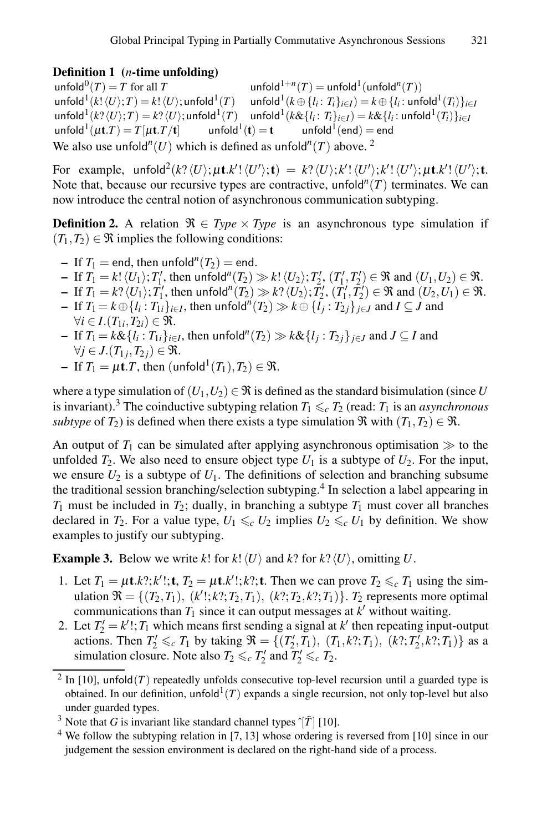### **Definition 1 (***n***-time unfolding)**

unfold<sup>0</sup>(*T*) = *T* for all *T* unfold<sup>1+*n*</sup>(*T*) = unfold<sup>1</sup>(unfold<sup>*n*</sup>(*T*))  ${\rm Unfold}^1(k! \langle U \rangle; T) = k! \langle U \rangle; {\rm Unfold}^1(T)$   ${\rm Unfold}^1(k \oplus \{l_i : T_i\}_{i \in I}) = k \oplus \{l_i : {\rm Unfold}^1(T_i)\}_{i \in I}$ unfold<sup>1</sup>(*k*?*U*);*T*) = *k*?*U*);unfold<sup>1</sup>(*T*) unfold<sup>1</sup>(*k*&{*l<sub>i</sub>*: *T<sub>i</sub>*}<sub>*i*∈*I*</sub>) = *k*&{*l<sub>i</sub>*: unfold<sup>1</sup>(*T<sub>i</sub>*)}<sub>*i*∈*I*</sub> unfold<sup>1</sup>( $\mu$ **t**.*T*) = *T*[ $\mu$ **t**.*T*/**t**] unfold<sup>1</sup>(**t**) = **t** unfold<sup>1</sup>(end) = end  $\text{unfold}^1(\mu t.T) = T[\mu t.T/t]$  unfold<sup>1</sup>(t) = t unfold<sup>1</sup>(end) = end We also use unfold<sup>n</sup>(*U*) which is defined as unfold<sup>n</sup>(*T*) above. <sup>2</sup>

For example,  $\text{unfold}^2(k? \langle U \rangle; \mu \mathbf{t}.k'! \langle U' \rangle; \mathbf{t}) = k? \langle U \rangle; k'! \langle U' \rangle; k'! \langle U' \rangle; \mu \mathbf{t}.k'! \langle U' \rangle; \mathbf{t}.$ Note that, because our recursive types are contractive, unfold $^{n}(T)$  terminates. We can now introduce the central notion of asynchronous communication subtyping.

**Definition 2.** A relation  $\Re \in Type \times Type$  is an asynchronous type simulation if  $(T_1, T_2) \in \mathfrak{R}$  implies the following conditions:

- **–** If  $T_1$  = end, then unfold<sup>n</sup> $(T_2)$  = end.
- $-$  If  $T_1 = k! \langle U_1 \rangle; T_1'$ , then unfold<sup>n</sup>( $T_2$ )  $\gg k! \langle U_2 \rangle; T_2', (T_1', T_2') \in \mathbb{R}$  and  $(U_1, U_2) \in \mathbb{R}$ .
- $-$  If  $T_1 = k$ ?  $\langle U_1 \rangle$ ;  $T_1'$ , then unfold<sup>n</sup> $(T_2) \gg k$ ?  $\langle U_2 \rangle$ ;  $T_2'$ ,  $(T_1', T_2') \in \Re$  and  $(U_2, U_1) \in \Re$ .
- **–** If  $T_1 = k \bigoplus \{l_i : T_{1i}\}_{i \in I}$ , then unfold<sup>*n*</sup>( $T_2$ ) ≫  $k \bigoplus \{l_i : T_{2i}\}_{i \in J}$  and  $I \subseteq J$  and  $\forall i \in I$ . $(T_{1i}, T_{2i}) \in \mathfrak{R}$ .
- **–** If *T*<sup>1</sup> = *k*&{*li* : *T*1*i*}*i*∈*I*, then unfold*n*(*T*2) *k*&{*lj* : *T*<sup>2</sup> *<sup>j</sup>*}*j*∈*<sup>J</sup>* and *J* ⊆ *I* and  $\forall j$  ∈ *J*. $(T_1, T_2, j)$  ∈  $\Re$ .
- **–** If  $T_1 = \mu \mathbf{t} \cdot T$ , then  $(\text{unfold}^1(T_1), T_2) \in \mathfrak{R}$ .

where a type simulation of  $(U_1, U_2) \in \Re$  is defined as the standard bisimulation (since *U* is invariant).<sup>3</sup> The coinductive subtyping relation  $T_1 \leq c$  *T*<sub>2</sub> (read:  $T_1$  is an *asynchronous subtype* of  $T_2$ ) is defined when there exists a type simulation  $\Re$  with  $(T_1, T_2) \in \Re$ .

An output of  $T_1$  can be simulated after applying asynchronous optimisation  $\gg$  to the unfolded  $T_2$ . We also need to ensure object type  $U_1$  is a subtype of  $U_2$ . For the input, we ensure  $U_2$  is a subtype of  $U_1$ . The definitions of selection and branching subsume the traditional session branching/selection subtyping.<sup>4</sup> In selection a label appearing in  $T_1$  must be included in  $T_2$ ; dually, in branching a subtype  $T_1$  must cover all branches declared in  $T_2$ . For a value type,  $U_1 \leq c U_2$  implies  $U_2 \leq c U_1$  by definition. We show examples to justify our subtyping.

**Example 3.** Below we write *k*! for *k*!  $\langle U \rangle$  and *k*? for *k*?  $\langle U \rangle$ , omitting *U*.

- 1. Let  $T_1 = \mu \mathbf{t}.k?$ ;  $k'$ !;  $\mathbf{t}, T_2 = \mu \mathbf{t}.k'$ !;  $k?$ ;  $\mathbf{t}$ . Then we can prove  $T_2 \leq c T_1$  using the simulation  $\mathfrak{R} = \{ (T_2, T_1), (k'!; k?; T_2, T_1), (k?; T_2, k?; T_1) \}$ .  $T_2$  represents more optimal communications than  $T_1$  since it can output messages at  $k'$  without waiting.
- 2. Let  $T_2' = k'!$ ;  $T_1$  which means first sending a signal at  $k'$  then repeating input-output actions. Then  $T_2' \leq c T_1$  by taking  $\Re = \{(T_2', T_1), (T_1, k?; T_1), (k?; T_2', k?; T_1)\}$  as a simulation closure. Note also  $T_2 \leq c T_2'$  and  $T_2' \leq c T_2$ .

<sup>&</sup>lt;sup>2</sup> In [10], unfold(*T*) repeatedly unfolds consecutive top-level recursion until a guarded type is obtained. In our definition, unfold<sup>1</sup> $(T)$  expands a single recursion, not only top-level but also under guarded types.

<sup>&</sup>lt;sup>3</sup> Note that *G* is invariant like standard channel types  $\tilde{T}$  [10].

<sup>&</sup>lt;sup>4</sup> We follow the subtyping relation in [7, 13] whose ordering is reversed from [10] since in our judgement the session environment is declared on the right-hand side of a process.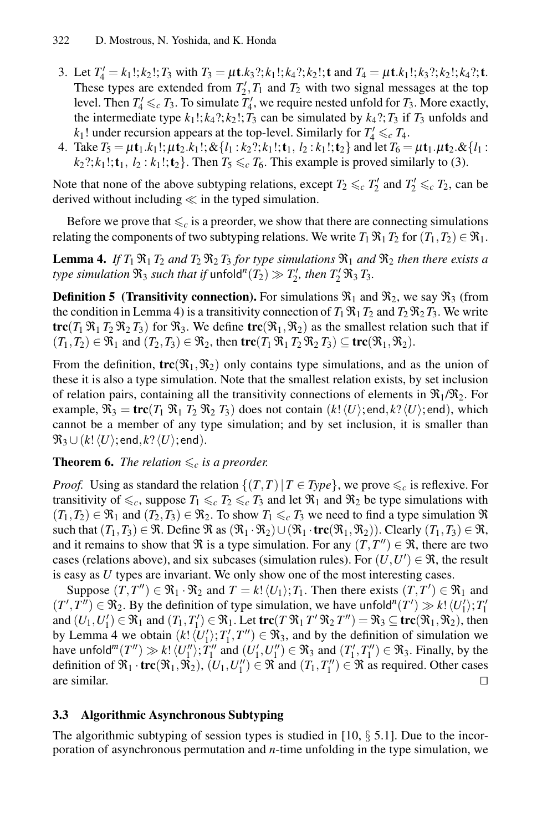- 3. Let  $T'_4 = k_1!; k_2!; T_3$  with  $T_3 = \mu \mathbf{t}.k_3?; k_1!; k_4?; k_2!; \mathbf{t}$  and  $T_4 = \mu \mathbf{t}.k_1!; k_3?; k_2!; k_4?; \mathbf{t}.$ These types are extended from  $T_2', T_1$  and  $T_2$  with two signal messages at the top level. Then  $T_4' \leq c T_3$ . To simulate  $T_4'$ , we require nested unfold for  $T_3$ . More exactly, the intermediate type  $k_1$ !; $k_4$ ?; $k_2$ !; $T_3$  can be simulated by  $k_4$ ?; $T_3$  if  $T_3$  unfolds and *k*<sub>1</sub>! under recursion appears at the top-level. Similarly for  $T_4 \leq c T_4$ .
- 4. Take *T*<sup>5</sup> = <sup>μ</sup>**t**1.*k*1!;μ**t**2.*k*1!;&{*l*<sup>1</sup> : *k*2?;*k*1!;**t**1, *l*<sup>2</sup> : *k*1!;**t**2} and let *T*<sup>6</sup> = <sup>μ</sup>**t**1.μ**t**2.&{*l*<sup>1</sup> :  $k_2$ ?; $k_1$ !; $\mathbf{t}_1$ ,  $l_2$ : $k_1$ !; $\mathbf{t}_2$ }. Then  $T_5 \leq c$   $T_6$ . This example is proved similarly to (3).

Note that none of the above subtyping relations, except  $T_2 \leq c$   $T_2'$  and  $T_2' \leq c$   $T_2$ , can be derived without including  $\ll$  in the typed simulation.

Before we prove that  $\leq c$  is a preorder, we show that there are connecting simulations relating the components of two subtyping relations. We write  $T_1 \mathfrak{R}_1 T_2$  for  $(T_1, T_2) \in \mathfrak{R}_1$ .

**Lemma 4.** *If*  $T_1 \mathfrak{R}_1 T_2$  *and*  $T_2 \mathfrak{R}_2 T_3$  *for type simulations*  $\mathfrak{R}_1$  *and*  $\mathfrak{R}_2$  *then there exists a type simulation*  $\Re_3$  *such that if* unfold<sup>*n*</sup>( $T_2$ )  $\gg T_2'$ *, then*  $T_2'$   $\Re_3$   $T_3$ *.* 

**Definition 5 (Transitivity connection).** For simulations  $\mathfrak{R}_1$  and  $\mathfrak{R}_2$ , we say  $\mathfrak{R}_3$  (from the condition in Lemma 4) is a transitivity connection of  $T_1 \mathfrak{R}_1 T_2$  and  $T_2 \mathfrak{R}_2 T_3$ . We write **trc**( $T_1$   $\mathfrak{R}_1$   $T_2$   $\mathfrak{R}_2$   $T_3$ ) for  $\mathfrak{R}_3$ . We define **trc**( $\mathfrak{R}_1$ ,  $\mathfrak{R}_2$ ) as the smallest relation such that if  $(T_1, T_2) \in \mathfrak{R}_1$  and  $(T_2, T_3) \in \mathfrak{R}_2$ , then  $\mathbf{trc}(T_1 \mathfrak{R}_1 T_2 \mathfrak{R}_2 T_3) \subseteq \mathbf{trc}(\mathfrak{R}_1, \mathfrak{R}_2)$ .

From the definition,  $\text{tr}(\mathfrak{R}_1, \mathfrak{R}_2)$  only contains type simulations, and as the union of these it is also a type simulation. Note that the smallest relation exists, by set inclusion of relation pairs, containing all the transitivity connections of elements in  $\mathfrak{R}_1/\mathfrak{R}_2$ . For example,  $\mathfrak{R}_3 = \mathbf{trc}(T_1 \mathfrak{R}_1 T_2 \mathfrak{R}_2 T_3)$  does not contain  $(k! \langle U \rangle; \text{end}, k? \langle U \rangle; \text{end})$ , which cannot be a member of any type simulation; and by set inclusion, it is smaller than  $\mathfrak{R}_3 \cup (k! \langle U \rangle; \text{end}, k? \langle U \rangle; \text{end}).$ 

**Theorem 6.** *The relation*  $\leq_c$  *is a preorder.* 

*Proof.* Using as standard the relation  $\{(T,T) | T \in Type\}$ , we prove  $\leq_c$  is reflexive. For transitivity of  $\leq_c$ , suppose  $T_1 \leq_c T_2 \leq_c T_3$  and let  $\Re_1$  and  $\Re_2$  be type simulations with  $(T_1, T_2) \in \mathfrak{R}_1$  and  $(T_2, T_3) \in \mathfrak{R}_2$ . To show  $T_1 \leq c T_3$  we need to find a type simulation  $\mathfrak{R}$ such that  $(T_1, T_3) \in \mathfrak{R}$ . Define  $\mathfrak{R}$  as  $(\mathfrak{R}_1 \cdot \mathfrak{R}_2) \cup (\mathfrak{R}_1 \cdot \mathbf{trc}(\mathfrak{R}_1, \mathfrak{R}_2))$ . Clearly  $(T_1, T_3) \in \mathfrak{R}$ , and it remains to show that  $\Re$  is a type simulation. For any  $(T, T'') \in \Re$ , there are two cases (relations above), and six subcases (simulation rules). For  $(U, U') \in \mathcal{R}$ , the result is easy as *U* types are invariant. We only show one of the most interesting cases.

Suppose  $(T, T'') \in \mathfrak{R}_1 \cdot \mathfrak{R}_2$  and  $T = k! \langle U_1 \rangle; T_1$ . Then there exists  $(T, T') \in \mathfrak{R}_1$  and  $(T', T'') \in \mathfrak{R}_2$ . By the definition of type simulation, we have unfold<sup>*n*</sup>(*T'*)  $\gg k! \langle U'_1 \rangle; T'_1$ and  $(U_1, U'_1) \in \mathfrak{R}_1$  and  $(T_1, T'_1) \in \mathfrak{R}_1$ . Let  $\mathbf{trc}(T \mathfrak{R}_1 T' \mathfrak{R}_2 T'') = \mathfrak{R}_3 \subseteq \mathbf{trc}(\mathfrak{R}_1, \mathfrak{R}_2)$ , then by Lemma 4 we obtain  $(k! \langle U'_1 \rangle; T'_1, T'') \in \mathfrak{R}_3$ , and by the definition of simulation we have unfold<sup> $m(T'') \gg k! \langle U_1'' \rangle$ ;  $T_1''$  and  $(U_1', U_1'') \in \mathfrak{R}_3$  and  $(T_1', T_1'') \in \mathfrak{R}_3$ . Finally, by the</sup> definition of  $\mathfrak{R}_1 \cdot \textbf{trc}(\mathfrak{R}_1, \mathfrak{R}_2)$ ,  $(U_1, U''_1) \in \mathfrak{R}$  and  $(T_1, T''_1) \in \mathfrak{R}$  as required. Other cases are similar.

## **3.3 Algorithmic Asynchronous Subtyping**

The algorithmic subtyping of session types is studied in [10,  $\S$  5.1]. Due to the incorporation of asynchronous permutation and *n*-time unfolding in the type simulation, we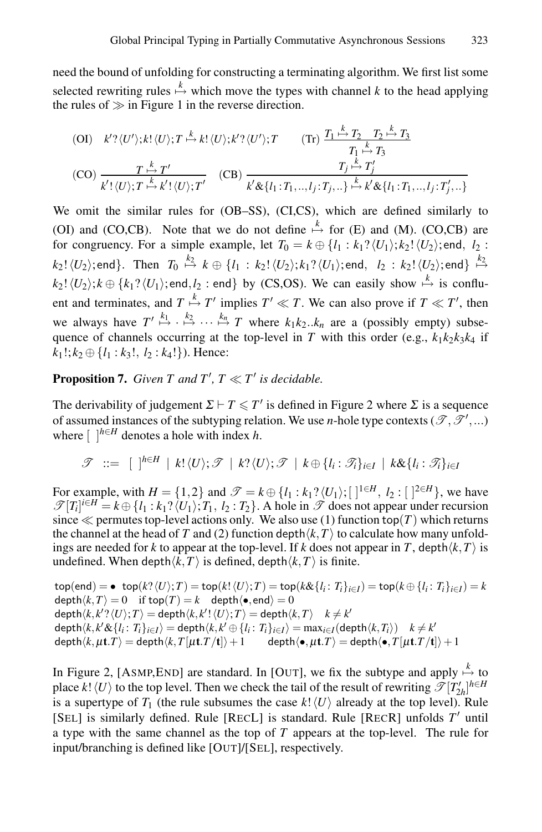need the bound of unfolding for constructing a terminating algorithm. We first list some selected rewriting rules  $\stackrel{k}{\mapsto}$  which move the types with channel *k* to the head applying the rules of  $\gg$  in Figure 1 in the reverse direction.

(OI) 
$$
k' ? \langle U' \rangle; k! \langle U \rangle; T \stackrel{k}{\mapsto} k! \langle U \rangle; k' ? \langle U' \rangle; T
$$
 (Tr)  $\frac{T_1 \stackrel{k}{\mapsto} T_2 T_2 \stackrel{k}{\mapsto} T_3}{T_1 \stackrel{k}{\mapsto} T_3}$   
\n(CO)  $\frac{T \stackrel{k}{\mapsto} T'}{k'! \langle U \rangle; T \stackrel{k}{\mapsto} k'! \langle U \rangle; T'}$  (CB)  $\frac{T_i \stackrel{k}{\mapsto} T'_j}{k' \& \{l_1 : T_1, \ldots, l_j : T_j, \ldots\}} \stackrel{F_i \stackrel{k}{\mapsto} T'_j}{\mapsto} k' \& \{l_1 : T_1, \ldots, l_j : T'_j, \ldots\}$ 

We omit the similar rules for (OB–SS), (CI,CS), which are defined similarly to (OI) and (CO,CB). Note that we do not define  $\stackrel{k}{\mapsto}$  for (E) and (M). (CO,CB) are for congruency. For a simple example, let  $T_0 = k \oplus \{l_1 : k_1? \langle U_1 \rangle; k_2! \langle U_2 \rangle; \text{end}, l_2$ :  $k$ 2!  $\langle U_2 \rangle$ ;end}. Then  $T_0 \stackrel{k_2}{\mapsto} k \oplus \{l_1 \,:\, k_2!\, \langle U_2 \rangle ; k_1? \langle U_1 \rangle ;$ end,  $l_2 \,:\, k_2!\, \langle U_2 \rangle ;$ end}  $\stackrel{k_2}{\mapsto}$  $k_2! \langle U_2 \rangle$ ; $k \oplus \{k_1? \langle U_1 \rangle;$ end, $l_2:$ end} by (CS,OS). We can easily show  $\stackrel{k}{\mapsto}$  is confluent and terminates, and  $T \stackrel{k}{\mapsto} T'$  implies  $T' \ll T$ . We can also prove if  $T \ll T'$ , then we always have  $T' \stackrel{k_1}{\mapsto} \cdots \stackrel{k_2}{\mapsto} \cdots$  *k<sub>n</sub>*  $T$  where  $k_1k_2..k_n$  are a (possibly empty) subsequence of channels occurring at the top-level in *T* with this order (e.g.,  $k_1k_2k_3k_4$  if  $k_1!$ ;  $k_2 \oplus \{l_1 : k_3 : l_2 : k_4!\}$ ). Hence:

## **Proposition 7.** *Given T and T'*,  $T \ll T'$  *is decidable.*

The derivability of judgement  $\Sigma \vdash T \leq T'$  is defined in Figure 2 where  $\Sigma$  is a sequence of assumed instances of the subtyping relation. We use *n*-hole type contexts ( $\mathcal{T}, \mathcal{T}', \ldots$ ) where  $\int_{0}^{h \in H}$  denotes a hole with index *h*.

$$
\mathscr{T} \ ::= \ [\ ]^{h \in H} \ \ | \ \ k! \ \langle U \rangle ; \mathscr{T} \ \ | \ \ k? \ \langle U \rangle ; \mathscr{T} \ \ | \ \ k \oplus \{ l_i \colon \mathscr{T}_i \}_{i \in I} \ \ | \ \ k \& \{ l_i \colon \mathscr{T}_i \}_{i \in I}
$$

For example, with  $H = \{1, 2\}$  and  $\mathscr{T} = k \oplus \{l_1 : k_1? \langle U_1 \rangle; [\ ]^{1 \in H}, l_2 : [\ ]^{2 \in H} \}$ , we have  $\mathscr{T}[T_i]^{i \in H} = k \oplus \{l_1 : k_1? \langle U_1 \rangle; T_1, l_2 : T_2\}$ . A hole in  $\mathscr{T}$  does not appear under recursion since  $\ll$  permutes top-level actions only. We also use (1) function top(*T*) which returns the channel at the head of *T* and (2) function depth $\langle k, T \rangle$  to calculate how many unfoldings are needed for *k* to appear at the top-level. If *k* does not appear in *T*, depth $\langle k, T \rangle$  is undefined. When depth $\langle k, T \rangle$  is defined, depth $\langle k, T \rangle$  is finite.

 $top(\text{end}) = \text{•} \text{top}(k? \langle U \rangle; T) = \text{top}(k! \langle U \rangle; T) = \text{top}(k \& \{l_i: T_i\}_{i \in I}) = \text{top}(k \oplus \{l_i: T_i\}_{i \in I}) = k$  $depth\langle k, T \rangle = 0$  if  $top(T) = k$  depth $\langle \bullet, end \rangle = 0$  $\mathsf{depth}\langle k,k' ? \langle U \rangle; T \rangle = \mathsf{depth}\langle k,k' ! \langle U \rangle; T \rangle = \mathsf{depth}\langle k, T \rangle \quad k \neq k'$  $\langle k,k'\&\{l_i\colon T_i\}_{i\in I}\rangle = \mathsf{depth}\langle k,k'\oplus\{l_i\colon T_i\}_{i\in I}\rangle = \max_{i\in I}(\mathsf{depth}\langle k,T_i\rangle)\quad k\neq k'$  $\langle \text{depth}\langle k,\mu\mathbf{t}\cdot T\rangle = \text{depth}\langle k,T|\mu\mathbf{t}\cdot T/\mathbf{t}\rangle + 1$  depth $\langle \textbf{e},\mu\mathbf{t}\cdot T\rangle = \text{depth}\langle \textbf{e},T|\mu\mathbf{t}\cdot T/\mathbf{t}\rangle + 1$ 

In Figure 2, [ASMP, END] are standard. In [OUT], we fix the subtype and apply  $\stackrel{k}{\mapsto}$  to place  $k! \left< U \right>$  to the top level. Then we check the tail of the result of rewriting  $\mathscr{T}[T'_{2h}]^{h \in H}$ is a supertype of  $T_1$  (the rule subsumes the case  $k! \langle U \rangle$  already at the top level). Rule [SEL] is similarly defined. Rule [RECL] is standard. Rule [RECR] unfolds  $T'$  until a type with the same channel as the top of *T* appears at the top-level. The rule for input/branching is defined like [OUT]/[SEL], respectively.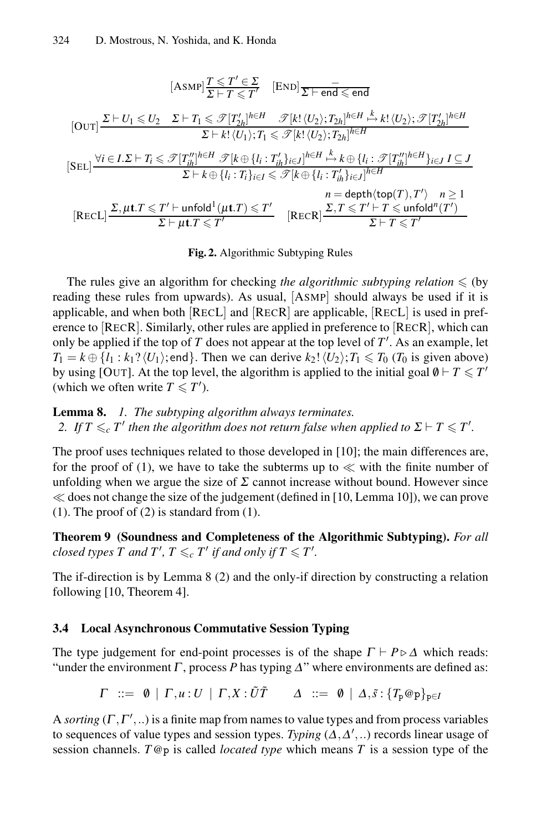$$
[\text{ASMP}] \frac{T \leq T' \in \Sigma}{\Sigma \vdash T \leq T'} \quad [\text{END}] \frac{1}{\Sigma \vdash \text{end}} \leq \text{end}
$$
\n
$$
[\text{OUT}] \frac{\Sigma \vdash U_1 \leq U_2 \quad \Sigma \vdash T_1 \leq \mathcal{T}[T'_{2h}]^{h \in H} \quad \mathcal{T}[k! \langle U_2 \rangle; T_{2h}]^{h \in H} \xrightarrow{k} k! \langle U_2 \rangle; \mathcal{T}[T'_{2h}]^{h \in H}}{\Sigma \vdash k! \langle U_1 \rangle; T_1 \leq \mathcal{T}[k! \langle U_2 \rangle; T_{2h}]^{h \in H}} \frac{\langle U_2 \rangle; \mathcal{T}[T'_{2h}]^{h \in H}}{\Sigma \vdash k! \langle U_1 \rangle; T_1 \leq \mathcal{T}[k! \langle U_2 \rangle; T_{2h}]^{h \in H}} \frac{\langle U_2 \rangle; \mathcal{T}[T''_{2h}]^{h \in H}}{\Sigma \vdash k \oplus \{l_i : T'_{ih}\}_{i \in J}\}_{h \in H}} \frac{\langle U_2 \rangle; \mathcal{T}[T''_{2h}]^{h \in H}}{\Sigma \vdash k \oplus \{l_i : T_i \}_{i \in J}} \leq J
$$
\n
$$
[\text{RecL}] \frac{\Sigma, \mu \text{t} \cdot T \leq T' \vdash \text{unfold}^1(\mu \text{t} \cdot T) \leq T'}{\Sigma \vdash \mu \text{t} \cdot T \leq T'} \quad [\text{RecR}] \frac{\Sigma, T \leq T' \vdash T \leq \text{unfold}^n(T')}{\Sigma \vdash T \leq T'} \frac{\Sigma, T' \in T' \models \text{unfold}^n(T')}{\Sigma \vdash T \leq T'}
$$

**Fig. 2.** Algorithmic Subtyping Rules

The rules give an algorithm for checking *the algorithmic subtyping relation*  $\leq$  (by reading these rules from upwards). As usual, [ASMP] should always be used if it is applicable, and when both [RECL] and [RECR] are applicable, [RECL] is used in preference to [RECR]. Similarly, other rules are applied in preference to [RECR], which can only be applied if the top of  $T$  does not appear at the top level of  $T'$ . As an example, let  $T_1 = k \oplus \{l_1 : k_1? \langle U_1 \rangle; \text{end}\}.$  Then we can derive  $k_2! \langle U_2 \rangle; T_1 \le T_0$  (*T*<sub>0</sub> is given above) by using [OUT]. At the top level, the algorithm is applied to the initial goal  $\emptyset \vdash T \leq T'$ (which we often write  $T \leq T'$ ).

# **Lemma 8.** *1. The subtyping algorithm always terminates.*

2. If  $T \leqslant_c T'$  then the algorithm does not return false when applied to  $\Sigma \vdash T \leqslant T'.$ 

The proof uses techniques related to those developed in [10]; the main differences are, for the proof of (1), we have to take the subterms up to  $\ll$  with the finite number of unfolding when we argue the size of  $\Sigma$  cannot increase without bound. However since  $\ll$  does not change the size of the judgement (defined in [10, Lemma 10]), we can prove  $(1)$ . The proof of  $(2)$  is standard from  $(1)$ .

**Theorem 9 (Soundness and Completeness of the Algorithmic Subtyping).** *For all closed types*  $T$  and  $T'$ ,  $T \leqslant_c T'$  *if and only if*  $T \leqslant T'$ .

The if-direction is by Lemma 8 (2) and the only-if direction by constructing a relation following [10, Theorem 4].

## **3.4 Local Asynchronous Commutative Session Typing**

The type judgement for end-point processes is of the shape  $\Gamma \vdash P \triangleright \Delta$  which reads: "under the environment  $\Gamma$ , process  $P$  has typing  $\Delta$ " where environments are defined as:

$$
\Gamma \ ::= \ \emptyset \ | \ \Gamma, u : U \ | \ \Gamma, X : \tilde{U}\tilde{T} \qquad \Delta \ ::= \ \emptyset \ | \ \Delta, \tilde{s} : \{T_p \otimes p\}_{p \in I}
$$

A *sorting*  $(\Gamma, \Gamma', ...)$  is a finite map from names to value types and from process variables to sequences of value types and session types. *Typing*  $(\Delta, \Delta', ...)$  records linear usage of session channels. *T*@p is called *located type* which means *T* is a session type of the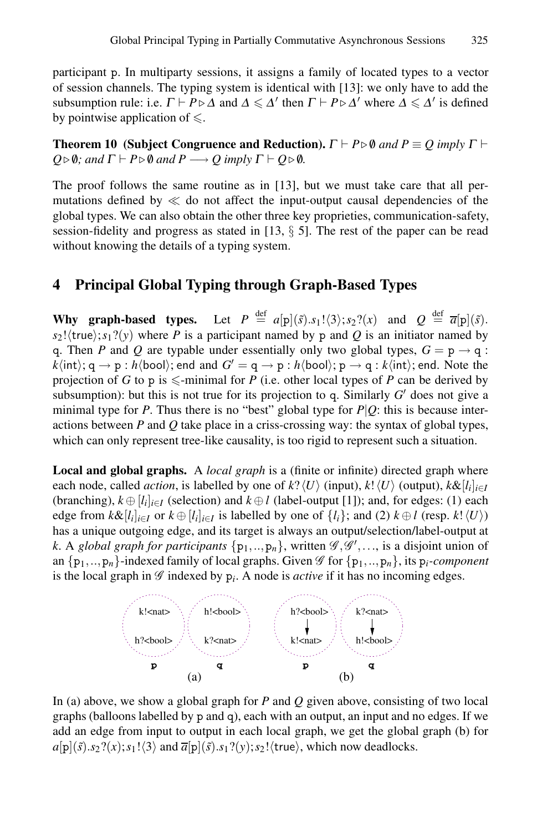participant p. In multiparty sessions, it assigns a family of located types to a vector of session channels. The typing system is identical with [13]: we only have to add the subsumption rule: i.e.  $\Gamma \vdash P \triangleright \Delta$  and  $\Delta \leq \Delta'$  then  $\Gamma \vdash P \triangleright \Delta'$  where  $\Delta \leq \Delta'$  is defined by pointwise application of  $\leq$ .

**Theorem 10** (Subject Congruence and Reduction).  $\Gamma \vdash P \triangleright \emptyset$  and  $P \equiv Q$  imply  $\Gamma \vdash$  $Q \triangleright \emptyset$ ; and  $\Gamma \vdash P \triangleright \emptyset$  and  $P \longrightarrow Q$  imply  $\Gamma \vdash Q \triangleright \emptyset$ .

The proof follows the same routine as in [13], but we must take care that all permutations defined by  $\ll$  do not affect the input-output causal dependencies of the global types. We can also obtain the other three key proprieties, communication-safety, session-fidelity and progress as stated in [13,  $\S$  5]. The rest of the paper can be read without knowing the details of a typing system.

# **4 Principal Global Typing through Graph-Based Types**

**Why graph-based types.**  $\stackrel{\text{def}}{=} a[p](\tilde{s}) .s_1! \langle 3 \rangle$ ;  $s_2?(x)$  and  $Q \stackrel{\text{def}}{=} \overline{a}[p](\tilde{s})$ .  $s_2$ !(true);  $s_1$ ?(*y*) where *P* is a participant named by p and *Q* is an initiator named by q. Then *P* and *Q* are typable under essentially only two global types,  $G = p \rightarrow q$ :  $k(int)$ ;  $q \rightarrow p : h\langle \text{bool} \rangle$ ; end and  $G' = q \rightarrow p : h\langle \text{bool} \rangle$ ;  $p \rightarrow q : k\langle \text{int} \rangle$ ; end. Note the projection of *G* to p is  $\leq$ -minimal for *P* (i.e. other local types of *P* can be derived by subsumption): but this is not true for its projection to q. Similarly G' does not give a minimal type for *P*. Thus there is no "best" global type for  $P|Q$ : this is because interactions between *P* and *Q* take place in a criss-crossing way: the syntax of global types, which can only represent tree-like causality, is too rigid to represent such a situation.

**Local and global graphs.** A *local graph* is a (finite or infinite) directed graph where each node, called *action*, is labelled by one of  $k$ ?  $\langle U \rangle$  (input),  $k! \langle U \rangle$  (output),  $k \& [l_i]_{i \in I}$ (branching),  $k \oplus |l_i|_{i \in I}$  (selection) and  $k \oplus l$  (label-output [1]); and, for edges: (1) each edge from  $k\&[l_i]_{i\in I}$  or  $k\&[l_i]_{i\in I}$  is labelled by one of  $\{l_i\}$ ; and (2)  $k\&I$  (resp.  $k!\langle U \rangle$ ) has a unique outgoing edge, and its target is always an output/selection/label-output at *k*. A *global graph for participants*  $\{p_1, ..., p_n\}$ , written  $\mathscr{G}, \mathscr{G}', ...,$  is a disjoint union of an  $\{p_1, \ldots, p_n\}$ -indexed family of local graphs. Given  $\mathscr G$  for  $\{p_1, \ldots, p_n\}$ , its  $p_i$ -component is the local graph in  $\mathscr G$  indexed by  $p_i$ . A node is *active* if it has no incoming edges.



In (a) above, we show a global graph for *P* and *Q* given above, consisting of two local graphs (balloons labelled by p and q), each with an output, an input and no edges. If we add an edge from input to output in each local graph, we get the global graph (b) for  $a[p](\tilde{s}) \cdot s_2?(\tilde{x})$ ;  $s_1! \langle 3 \rangle$  and  $\overline{a}[p](\tilde{s}) \cdot s_1?(\tilde{y})$ ;  $s_2! \langle$ true $\rangle$ , which now deadlocks.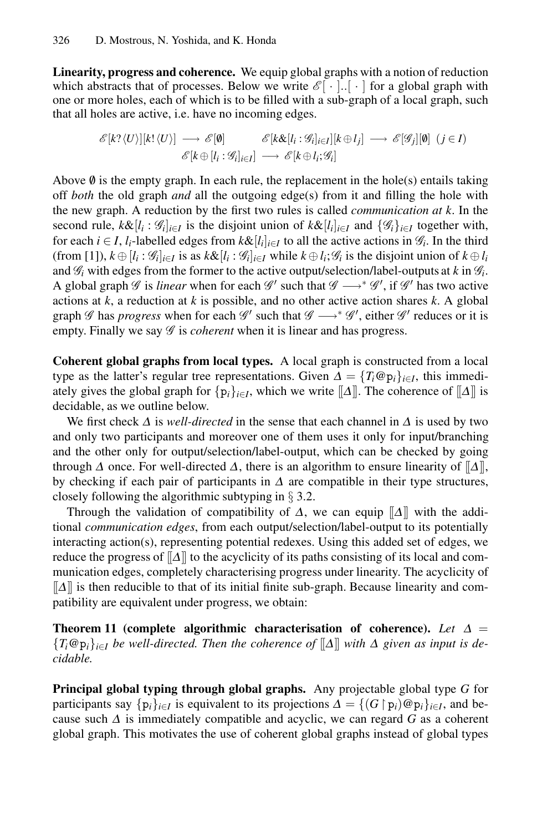**Linearity, progress and coherence.** We equip global graphs with a notion of reduction which abstracts that of processes. Below we write  $\mathscr{E}[\cdot]$ ... $[\cdot]$  for a global graph with one or more holes, each of which is to be filled with a sub-graph of a local graph, such that all holes are active, i.e. have no incoming edges.

$$
\mathcal{E}[k? \langle U \rangle][k! \langle U \rangle] \longrightarrow \mathcal{E}[\mathbf{0}] \qquad \mathcal{E}[k \& [l_i : \mathcal{G}_i]_{i \in I}][k \oplus l_j] \longrightarrow \mathcal{E}[\mathcal{G}_j][\mathbf{0}] \ (j \in I)
$$

$$
\mathcal{E}[k \oplus [l_i : \mathcal{G}_i]_{i \in I}] \longrightarrow \mathcal{E}[k \oplus l_i; \mathcal{G}_i]
$$

Above  $\emptyset$  is the empty graph. In each rule, the replacement in the hole(s) entails taking off *both* the old graph *and* all the outgoing edge(s) from it and filling the hole with the new graph. A reduction by the first two rules is called *communication at k*. In the second rule,  $k\&[l_i : \mathcal{G}_i]_{i \in I}$  is the disjoint union of  $k\&[l_i]_{i \in I}$  and  $\{\mathcal{G}_i\}_{i \in I}$  together with, for each  $i \in I$ , *l<sub>i</sub>*-labelled edges from  $k\&[l_i]_{i \in I}$  to all the active actions in  $\mathscr{G}_i$ . In the third (from [1]),  $k \oplus [l_i : \mathcal{G}_i]_{i \in I}$  is as  $k \& [l_i : \mathcal{G}_i]_{i \in I}$  while  $k \oplus l_i; \mathcal{G}_i$  is the disjoint union of  $k \oplus l_i$ and  $\mathcal{G}_i$  with edges from the former to the active output/selection/label-outputs at  $k$  in  $\mathcal{G}_i$ . A global graph  $\mathscr G$  is *linear* when for each  $\mathscr G'$  such that  $\mathscr G \longrightarrow^* \mathscr G'$ , if  $\mathscr G'$  has two active actions at *k*, a reduction at *k* is possible, and no other active action shares *k*. A global graph *G* has *progress* when for each *G*' such that  $\mathscr{G} \longrightarrow^* \mathscr{G}'$ , either  $\mathscr{G}'$  reduces or it is empty. Finally we say *G* is *coherent* when it is linear and has progress.

**Coherent global graphs from local types.** A local graph is constructed from a local type as the latter's regular tree representations. Given  $\Delta = \{T_i @ p_i\}_{i \in I}$ , this immediately gives the global graph for  $\{p_i\}_{i \in I}$ , which we write  $\llbracket \Delta \rrbracket$ . The coherence of  $\llbracket \Delta \rrbracket$  is decidable, as we outline below.

We first check  $\Delta$  is *well-directed* in the sense that each channel in  $\Delta$  is used by two and only two participants and moreover one of them uses it only for input/branching and the other only for output/selection/label-output, which can be checked by going through  $\Delta$  once. For well-directed  $\Delta$ , there is an algorithm to ensure linearity of  $\llbracket \Delta \rrbracket$ , by checking if each pair of participants in  $\Delta$  are compatible in their type structures, closely following the algorithmic subtyping in § 3.2.

Through the validation of compatibility of  $\Delta$ , we can equip  $\llbracket \Delta \rrbracket$  with the additional *communication edges*, from each output/selection/label-output to its potentially interacting action(s), representing potential redexes. Using this added set of edges, we reduce the progress of  $\llbracket \Delta \rrbracket$  to the acyclicity of its paths consisting of its local and communication edges, completely characterising progress under linearity. The acyclicity of  $\llbracket \Delta \rrbracket$  is then reducible to that of its initial finite sub-graph. Because linearity and compatibility are equivalent under progress, we obtain:

**Theorem 11 (complete algorithmic characterisation of coherence).** *Let* <sup>Δ</sup> =  ${T_i@p_i}_{i \in I}$  *be well-directed. Then the coherence of*  $\llbracket \Delta \rrbracket$  *with*  $\Delta$  *given as input is decidable.*

**Principal global typing through global graphs.** Any projectable global type *G* for participants say  $\{p_i\}_{i \in I}$  is equivalent to its projections  $\Delta = \{(G \mid p_i) \circledcirc p_i\}_{i \in I}$ , and because such  $\Delta$  is immediately compatible and acyclic, we can regard  $G$  as a coherent global graph. This motivates the use of coherent global graphs instead of global types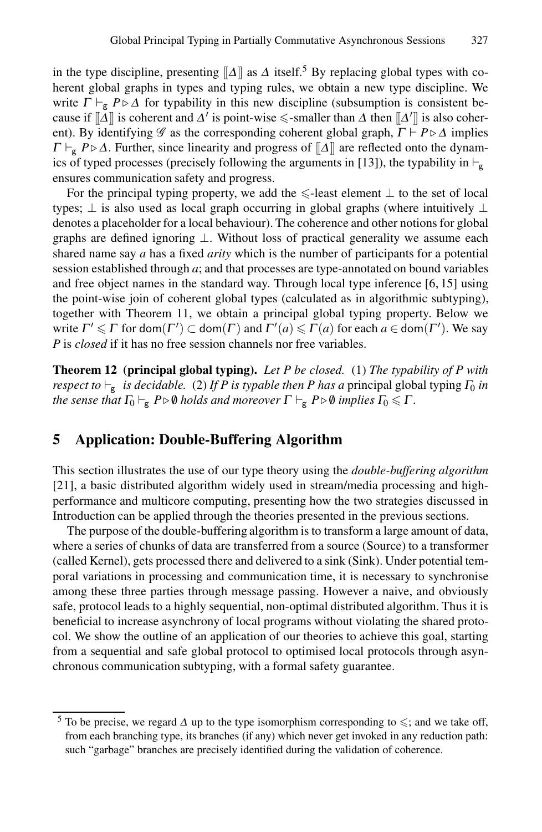in the type discipline, presenting  $\llbracket \Delta \rrbracket$  as  $\Delta$  itself.<sup>5</sup> By replacing global types with coherent global graphs in types and typing rules, we obtain a new type discipline. We write  $\Gamma \vdash_{g} P \triangleright \Delta$  for typability in this new discipline (subsumption is consistent be-<br>consec if  $\llbracket A \rrbracket$  is coherent and A/ is point wise  $\lt$  emaller than A than  $\llbracket A/\rrbracket$  is also sober cause if  $[\![\check{\Delta}]\!]$  is coherent and  $\Delta'$  is point-wise  $\leq$ -smaller than  $\Delta$  then  $[\![\Delta']\!]$  is also coherent). By identifying  $\mathscr G$  as the corresponding coherent global graph,  $\Gamma \vdash P \triangleright \Delta$  implies  $\Gamma \vdash_{g} P \triangleright \Delta$ . Further, since linearity and progress of  $[\![\Delta]\!]$  are reflected onto the dynam-<br>iso of tuned progresses (program: following the examples in [121]), the tunebility in ics of typed processes (precisely following the arguments in [13]), the typability in  $\vdash_g$ ensures communication safety and progress.

For the principal typing property, we add the  $\leq$ -least element  $\perp$  to the set of local types;  $\perp$  is also used as local graph occurring in global graphs (where intuitively  $\perp$ denotes a placeholder for a local behaviour). The coherence and other notions for global graphs are defined ignoring ⊥. Without loss of practical generality we assume each shared name say *a* has a fixed *arity* which is the number of participants for a potential session established through *a*; and that processes are type-annotated on bound variables and free object names in the standard way. Through local type inference [6, 15] using the point-wise join of coherent global types (calculated as in algorithmic subtyping), together with Theorem 11, we obtain a principal global typing property. Below we write  $\Gamma' \leq \Gamma$  for dom $(\Gamma') \subset$  dom $(\Gamma)$  and  $\Gamma'(a) \leq \Gamma(a)$  for each  $a \in$  dom $(\Gamma')$ . We say *P* is *closed* if it has no free session channels nor free variables.

**Theorem 12 (principal global typing).** *Let P be closed.* (1) *The typability of P with respect to*  $\vdash_g$  *is decidable.* (2) *If P is typable then P has a* principal global typing  $\Gamma_0$  *in the sense that*  $\Gamma_0 \vdash_g P \triangleright \emptyset$  *holds and moreover*  $\Gamma \vdash_g P \triangleright \emptyset$  *implies*  $\Gamma_0 \leqslant \Gamma$ *.* 

# **5 Application: Double-Buffering Algorithm**

This section illustrates the use of our type theory using the *double-buffering algorithm* [21], a basic distributed algorithm widely used in stream/media processing and highperformance and multicore computing, presenting how the two strategies discussed in Introduction can be applied through the theories presented in the previous sections.

The purpose of the double-buffering algorithm is to transform a large amount of data, where a series of chunks of data are transferred from a source (Source) to a transformer (called Kernel), gets processed there and delivered to a sink (Sink). Under potential temporal variations in processing and communication time, it is necessary to synchronise among these three parties through message passing. However a naive, and obviously safe, protocol leads to a highly sequential, non-optimal distributed algorithm. Thus it is beneficial to increase asynchrony of local programs without violating the shared protocol. We show the outline of an application of our theories to achieve this goal, starting from a sequential and safe global protocol to optimised local protocols through asynchronous communication subtyping, with a formal safety guarantee.

<sup>&</sup>lt;sup>5</sup> To be precise, we regard  $\Delta$  up to the type isomorphism corresponding to  $\leq$ ; and we take off, from each branching type, its branches (if any) which never get invoked in any reduction path: such "garbage" branches are precisely identified during the validation of coherence.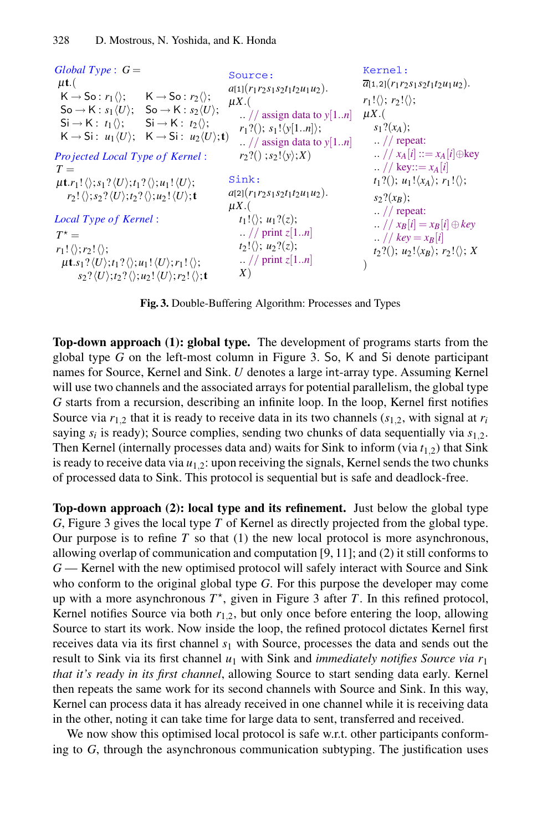| $Global Type: G =$                                                                                                                                                           | Source:                                     | Kernel:                                                        |
|------------------------------------------------------------------------------------------------------------------------------------------------------------------------------|---------------------------------------------|----------------------------------------------------------------|
| $\mu$ t. (                                                                                                                                                                   | $a[1](r_1r_2s_1s_2t_1t_2u_1u_2).$           | $\overline{a}$ [1,2]( $r_1r_2s_1s_2t_1t_2u_1u_2$ ).            |
| $K \rightarrow So: r_2 \langle \rangle$ ;<br>$K \rightarrow So: r_1 \langle \rangle;$                                                                                        | $\mu X$ . (                                 | $r_1!\langle\rangle; r_2!\langle\rangle;$                      |
| $\mathsf{So} \to \mathsf{K}: s_1\langle U \rangle; \quad \mathsf{So} \to \mathsf{K}: s_2\langle U \rangle;$                                                                  | $\ldots$ // assign data to y[1 <i>n</i> ]   | $\mu X$ .                                                      |
| $Si \rightarrow K$ : $t_1 \langle \rangle$ ;<br>$Si \rightarrow K$ : $t_2$ $\langle \rangle$ ;                                                                               | $r_1?$ (); $s_1! \langle y[1n] \rangle;$    | $s_1$ ?( $x_A$ );                                              |
| $K \rightarrow Si: u_2(U); t)$<br>$K \rightarrow Si: u_1 \langle U \rangle;$                                                                                                 | $\ldots$ // assign data to $y[1n]$          | $\ldots$ // repeat:                                            |
| Projected Local Type of Kernel:                                                                                                                                              | $r_2?()$ ; $s_2!(v);X)$                     | $\ldots$ // $x_A[i] ::= x_A[i] \oplus \text{key}$              |
| $T =$                                                                                                                                                                        |                                             | // key::= $x_A[i]$                                             |
| $\mu$ <b>t</b> .r <sub>1</sub> ! $\langle \rangle$ ; s <sub>1</sub> ? $\langle U \rangle$ ; t <sub>1</sub> ? $\langle \rangle$ ; u <sub>1</sub> ! $\langle U \rangle$ ;      | Sink:                                       | $t_1$ ?(); $u_1!\langle x_A\rangle$ ; $r_1!\langle\rangle$ ;   |
| $r_2! \langle \rangle; s_2? \langle U \rangle; t_2? \langle \rangle; u_2! \langle U \rangle; t$                                                                              | $a[2](r_1r_2s_1s_2t_1t_2u_1u_2).$           | $s_2? (x_B);$                                                  |
|                                                                                                                                                                              | $\mu X$ . (                                 | $\ldots$ // repeat:                                            |
| Local Type of Kernel:                                                                                                                                                        | $t_1$ ! $\langle \rangle$ ; $u_1$ ? $(z)$ ; | $\ldots$ // $x_B[i] = x_B[i] \oplus key$                       |
| $T^* =$                                                                                                                                                                      | $\ldots$ // print $z[1n]$                   | // $key = x_B[i]$                                              |
| $r_1! \langle \rangle; r_2! \langle \rangle;$                                                                                                                                | $t_2!\langle\rangle$ ; $u_2?(\zeta)$ ;      | $t_2?()$ ; $u_2!\langle x_B\rangle$ ; $r_2!\langle\rangle$ ; X |
| $\mu$ <b>t</b> .s <sub>1</sub> ? $\langle U \rangle$ ; <i>t</i> <sub>1</sub> ? $\langle \rangle$ ; $u_1$ ! $\langle U \rangle$ ; <i>r</i> <sub>1</sub> ! $\langle \rangle$ ; | // print $z[1n]$                            |                                                                |
| $s_2$ ? $\langle U \rangle$ ; $t_2$ ? $\langle \rangle$ ; $u_2$ ! $\langle U \rangle$ ; $r_2$ ! $\langle \rangle$ ;t                                                         | X)                                          |                                                                |

**Fig. 3.** Double-Buffering Algorithm: Processes and Types

**Top-down approach (1): global type.** The development of programs starts from the global type *G* on the left-most column in Figure 3. So, K and Si denote participant names for Source, Kernel and Sink. *U* denotes a large int-array type. Assuming Kernel will use two channels and the associated arrays for potential parallelism, the global type *G* starts from a recursion, describing an infinite loop. In the loop, Kernel first notifies Source via  $r_{1,2}$  that it is ready to receive data in its two channels ( $s_{1,2}$ , with signal at  $r_i$ saying  $s_i$  is ready); Source complies, sending two chunks of data sequentially via  $s_{1,2}$ . Then Kernel (internally processes data and) waits for Sink to inform (via  $t_1$ <sub>2</sub>) that Sink is ready to receive data via  $u_1$ <sub>2</sub>: upon receiving the signals, Kernel sends the two chunks of processed data to Sink. This protocol is sequential but is safe and deadlock-free.

**Top-down approach (2): local type and its refinement.** Just below the global type *G*, Figure 3 gives the local type *T* of Kernel as directly projected from the global type. Our purpose is to refine  $T$  so that  $(1)$  the new local protocol is more asynchronous, allowing overlap of communication and computation [9, 11]; and (2) it still conforms to *G* — Kernel with the new optimised protocol will safely interact with Source and Sink who conform to the original global type *G*. For this purpose the developer may come up with a more asynchronous  $T^*$ , given in Figure 3 after  $T$ . In this refined protocol, Kernel notifies Source via both  $r_{1,2}$ , but only once before entering the loop, allowing Source to start its work. Now inside the loop, the refined protocol dictates Kernel first receives data via its first channel *s*<sup>1</sup> with Source, processes the data and sends out the result to Sink via its first channel *u*<sup>1</sup> with Sink and *immediately notifies Source via r*<sup>1</sup> *that it's ready in its first channel*, allowing Source to start sending data early. Kernel then repeats the same work for its second channels with Source and Sink. In this way, Kernel can process data it has already received in one channel while it is receiving data in the other, noting it can take time for large data to sent, transferred and received.

We now show this optimised local protocol is safe w.r.t. other participants conforming to *G*, through the asynchronous communication subtyping. The justification uses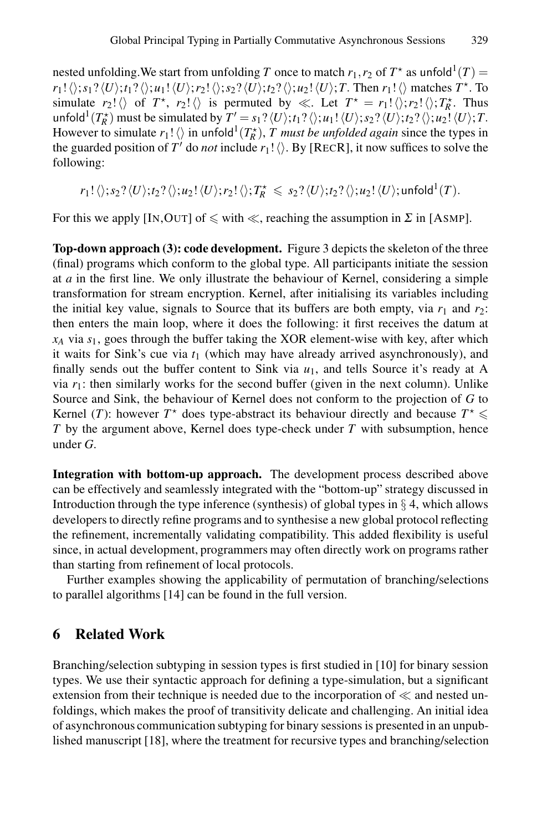nested unfolding. We start from unfolding *T* once to match  $r_1, r_2$  of  $T^*$  as unfold<sup>1</sup> $(T)$  =  $r_1! \langle \rangle; s_1? \langle U \rangle; t_1? \langle \rangle; u_1! \langle U \rangle; r_2! \langle \rangle; s_2? \langle U \rangle; t_2? \langle \rangle; u_2! \langle U \rangle; T$ . Then  $r_1! \langle \rangle$  matches  $T^*$ . To simulate  $r_2! \langle \rangle$  of  $T^*$ ,  $r_2! \langle \rangle$  is permuted by  $\ll$ . Let  $T^* = r_1! \langle \rangle; r_2! \langle \rangle; T_R^*$ . Thus unfold<sup>1</sup>( $T_R^*$ ) must be simulated by  $T' = s_1$ ? $\langle U \rangle$ ; $t_1$ ? $\langle \rangle$ ; $u_1$ ! $\langle U \rangle$ ; $s_2$ ? $\langle U \rangle$ ; $t_2$ ? $\langle \rangle$ ; $u_2$ ! $\langle U \rangle$ ; $T$ . However to simulate  $r_1! \langle \rangle$  in unfold<sup>1</sup> $(T_R^{\star})$ , *T must be unfolded again* since the types in the guarded position of  $T'$  do *not* include  $r_1! \langle \rangle$ . By [RECR], it now suffices to solve the following:

 $r_1! \, \langle \rangle; s_2? \langle U \rangle; t_2? \langle \rangle; u_2! \, \langle U \rangle; r_2! \, \langle \rangle; T^{\star}_R \, \leqslant \, s_2? \langle U \rangle; t_2? \langle \rangle; u_2! \, \langle U \rangle;$ unfold $^1(T).$ 

For this we apply [IN, OUT] of  $\leq$  with  $\ll$ , reaching the assumption in  $\Sigma$  in [ASMP].

**Top-down approach (3): code development.** Figure 3 depicts the skeleton of the three (final) programs which conform to the global type. All participants initiate the session at *a* in the first line. We only illustrate the behaviour of Kernel, considering a simple transformation for stream encryption. Kernel, after initialising its variables including the initial key value, signals to Source that its buffers are both empty, via  $r_1$  and  $r_2$ : then enters the main loop, where it does the following: it first receives the datum at *xA* via *s*1, goes through the buffer taking the XOR element-wise with key, after which it waits for Sink's cue via  $t_1$  (which may have already arrived asynchronously), and finally sends out the buffer content to Sink via  $u_1$ , and tells Source it's ready at A via  $r_1$ : then similarly works for the second buffer (given in the next column). Unlike Source and Sink, the behaviour of Kernel does not conform to the projection of *G* to Kernel (*T*): however  $T^*$  does type-abstract its behaviour directly and because  $T^* \leq$ *T* by the argument above, Kernel does type-check under *T* with subsumption, hence under *G*.

**Integration with bottom-up approach.** The development process described above can be effectively and seamlessly integrated with the "bottom-up" strategy discussed in Introduction through the type inference (synthesis) of global types in  $\S$  4, which allows developers to directly refine programs and to synthesise a new global protocol reflecting the refinement, incrementally validating compatibility. This added flexibility is useful since, in actual development, programmers may often directly work on programs rather than starting from refinement of local protocols.

Further examples showing the applicability of permutation of branching/selections to parallel algorithms [14] can be found in the full version.

# **6 Related Work**

Branching/selection subtyping in session types is first studied in [10] for binary session types. We use their syntactic approach for defining a type-simulation, but a significant extension from their technique is needed due to the incorporation of  $\ll$  and nested unfoldings, which makes the proof of transitivity delicate and challenging. An initial idea of asynchronous communication subtyping for binary sessions is presented in an unpublished manuscript [18], where the treatment for recursive types and branching/selection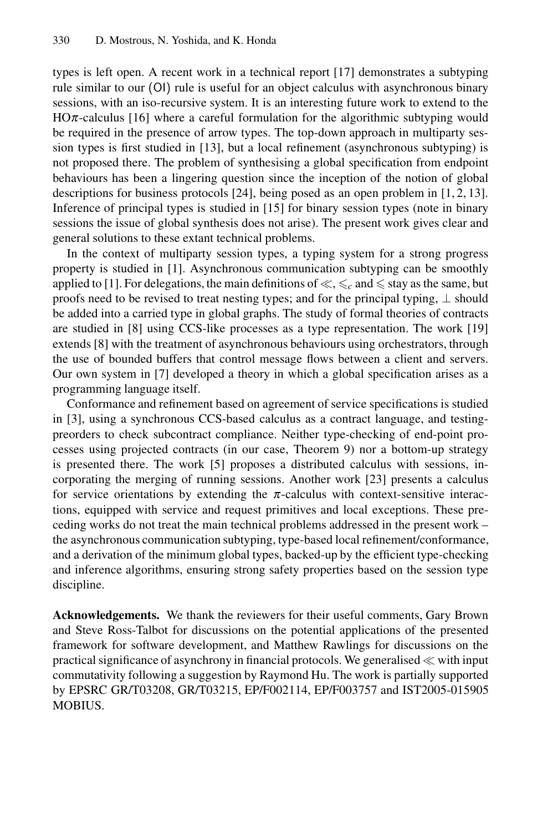types is left open. A recent work in a technical report [17] demonstrates a subtyping rule similar to our (OI) rule is useful for an object calculus with asynchronous binary sessions, with an iso-recursive system. It is an interesting future work to extend to the HO $\pi$ -calculus [16] where a careful formulation for the algorithmic subtyping would be required in the presence of arrow types. The top-down approach in multiparty session types is first studied in [13], but a local refinement (asynchronous subtyping) is not proposed there. The problem of synthesising a global specification from endpoint behaviours has been a lingering question since the inception of the notion of global descriptions for business protocols [24], being posed as an open problem in [1, 2, 13]. Inference of principal types is studied in [15] for binary session types (note in binary sessions the issue of global synthesis does not arise). The present work gives clear and general solutions to these extant technical problems.

In the context of multiparty session types, a typing system for a strong progress property is studied in [1]. Asynchronous communication subtyping can be smoothly applied to [1]. For delegations, the main definitions of  $\ll$ ,  $\leq_c$  and  $\leq$  stay as the same, but proofs need to be revised to treat nesting types; and for the principal typing,  $\perp$  should be added into a carried type in global graphs. The study of formal theories of contracts are studied in [8] using CCS-like processes as a type representation. The work [19] extends [8] with the treatment of asynchronous behaviours using orchestrators, through the use of bounded buffers that control message flows between a client and servers. Our own system in [7] developed a theory in which a global specification arises as a programming language itself.

Conformance and refinement based on agreement of service specifications is studied in [3], using a synchronous CCS-based calculus as a contract language, and testingpreorders to check subcontract compliance. Neither type-checking of end-point processes using projected contracts (in our case, Theorem 9) nor a bottom-up strategy is presented there. The work [5] proposes a distributed calculus with sessions, incorporating the merging of running sessions. Another work [23] presents a calculus for service orientations by extending the  $\pi$ -calculus with context-sensitive interactions, equipped with service and request primitives and local exceptions. These preceding works do not treat the main technical problems addressed in the present work – the asynchronous communication subtyping, type-based local refinement/conformance, and a derivation of the minimum global types, backed-up by the efficient type-checking and inference algorithms, ensuring strong safety properties based on the session type discipline.

**Acknowledgements.** We thank the reviewers for their useful comments, Gary Brown and Steve Ross-Talbot for discussions on the potential applications of the presented framework for software development, and Matthew Rawlings for discussions on the practical significance of asynchrony in financial protocols. We generalised  $\ll$  with input commutativity following a suggestion by Raymond Hu. The work is partially supported by EPSRC GR/T03208, GR/T03215, EP/F002114, EP/F003757 and IST2005-015905 MOBIUS.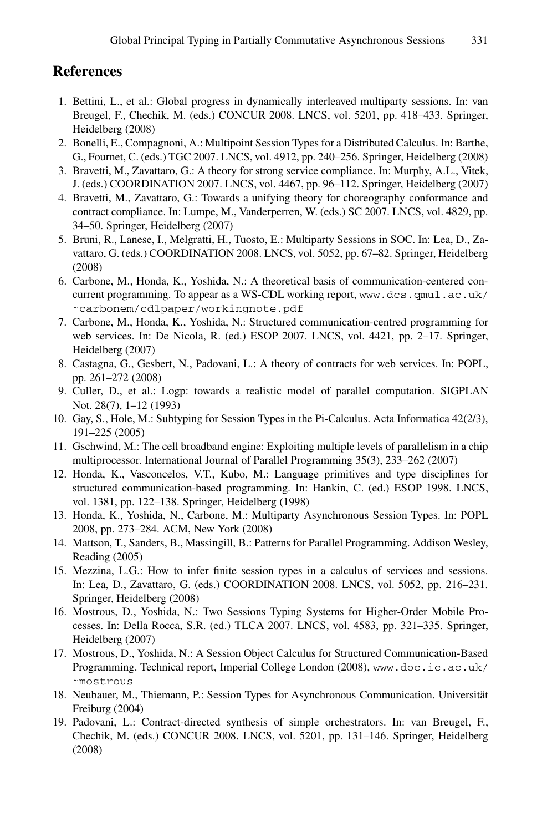# **References**

- 1. Bettini, L., et al.: Global progress in dynamically interleaved multiparty sessions. In: van Breugel, F., Chechik, M. (eds.) CONCUR 2008. LNCS, vol. 5201, pp. 418–433. Springer, Heidelberg (2008)
- 2. Bonelli, E., Compagnoni, A.: Multipoint Session Types for a Distributed Calculus. In: Barthe, G., Fournet, C. (eds.) TGC 2007. LNCS, vol. 4912, pp. 240–256. Springer, Heidelberg (2008)
- 3. Bravetti, M., Zavattaro, G.: A theory for strong service compliance. In: Murphy, A.L., Vitek, J. (eds.) COORDINATION 2007. LNCS, vol. 4467, pp. 96–112. Springer, Heidelberg (2007)
- 4. Bravetti, M., Zavattaro, G.: Towards a unifying theory for choreography conformance and contract compliance. In: Lumpe, M., Vanderperren, W. (eds.) SC 2007. LNCS, vol. 4829, pp. 34–50. Springer, Heidelberg (2007)
- 5. Bruni, R., Lanese, I., Melgratti, H., Tuosto, E.: Multiparty Sessions in SOC. In: Lea, D., Zavattaro, G. (eds.) COORDINATION 2008. LNCS, vol. 5052, pp. 67–82. Springer, Heidelberg (2008)
- 6. Carbone, M., Honda, K., Yoshida, N.: A theoretical basis of communication-centered concurrent programming. To appear as a WS-CDL working report, www.dcs.qmul.ac.uk/ ˜carbonem/cdlpaper/workingnote.pdf
- 7. Carbone, M., Honda, K., Yoshida, N.: Structured communication-centred programming for web services. In: De Nicola, R. (ed.) ESOP 2007. LNCS, vol. 4421, pp. 2–17. Springer, Heidelberg (2007)
- 8. Castagna, G., Gesbert, N., Padovani, L.: A theory of contracts for web services. In: POPL, pp. 261–272 (2008)
- 9. Culler, D., et al.: Logp: towards a realistic model of parallel computation. SIGPLAN Not. 28(7), 1–12 (1993)
- 10. Gay, S., Hole, M.: Subtyping for Session Types in the Pi-Calculus. Acta Informatica 42(2/3), 191–225 (2005)
- 11. Gschwind, M.: The cell broadband engine: Exploiting multiple levels of parallelism in a chip multiprocessor. International Journal of Parallel Programming 35(3), 233–262 (2007)
- 12. Honda, K., Vasconcelos, V.T., Kubo, M.: Language primitives and type disciplines for structured communication-based programming. In: Hankin, C. (ed.) ESOP 1998. LNCS, vol. 1381, pp. 122–138. Springer, Heidelberg (1998)
- 13. Honda, K., Yoshida, N., Carbone, M.: Multiparty Asynchronous Session Types. In: POPL 2008, pp. 273–284. ACM, New York (2008)
- 14. Mattson, T., Sanders, B., Massingill, B.: Patterns for Parallel Programming. Addison Wesley, Reading (2005)
- 15. Mezzina, L.G.: How to infer finite session types in a calculus of services and sessions. In: Lea, D., Zavattaro, G. (eds.) COORDINATION 2008. LNCS, vol. 5052, pp. 216–231. Springer, Heidelberg (2008)
- 16. Mostrous, D., Yoshida, N.: Two Sessions Typing Systems for Higher-Order Mobile Processes. In: Della Rocca, S.R. (ed.) TLCA 2007. LNCS, vol. 4583, pp. 321–335. Springer, Heidelberg (2007)
- 17. Mostrous, D., Yoshida, N.: A Session Object Calculus for Structured Communication-Based Programming. Technical report, Imperial College London (2008), www.doc.ic.ac.uk/ ˜mostrous
- 18. Neubauer, M., Thiemann, P.: Session Types for Asynchronous Communication. Universität Freiburg (2004)
- 19. Padovani, L.: Contract-directed synthesis of simple orchestrators. In: van Breugel, F., Chechik, M. (eds.) CONCUR 2008. LNCS, vol. 5201, pp. 131–146. Springer, Heidelberg (2008)